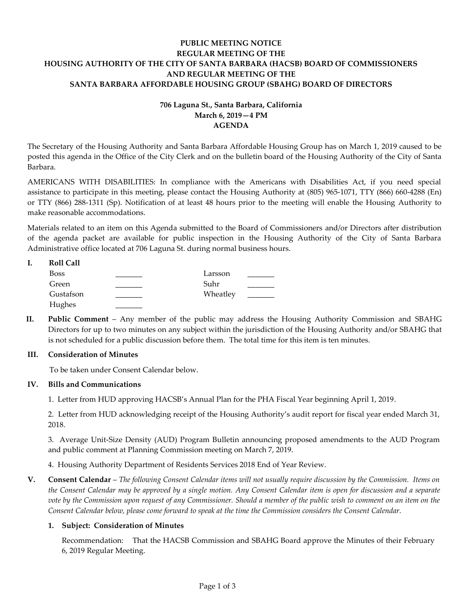# **PUBLIC MEETING NOTICE REGULAR MEETING OF THE HOUSING AUTHORITY OF THE CITY OF SANTA BARBARA (HACSB) BOARD OF COMMISSIONERS AND REGULAR MEETING OF THE SANTA BARBARA AFFORDABLE HOUSING GROUP (SBAHG) BOARD OF DIRECTORS**

# **706 Laguna St., Santa Barbara, California March 6, 2019—4 PM AGENDA**

The Secretary of the Housing Authority and Santa Barbara Affordable Housing Group has on March 1, 2019 caused to be posted this agenda in the Office of the City Clerk and on the bulletin board of the Housing Authority of the City of Santa Barbara.

AMERICANS WITH DISABILITIES: In compliance with the Americans with Disabilities Act, if you need special assistance to participate in this meeting, please contact the Housing Authority at (805) 965-1071, TTY (866) 660-4288 (En) or TTY (866) 288-1311 (Sp). Notification of at least 48 hours prior to the meeting will enable the Housing Authority to make reasonable accommodations.

Materials related to an item on this Agenda submitted to the Board of Commissioners and/or Directors after distribution of the agenda packet are available for public inspection in the Housing Authority of the City of Santa Barbara Administrative office located at 706 Laguna St. during normal business hours.

| <b>Roll Call</b> |          |  |
|------------------|----------|--|
| <b>Boss</b>      | Larsson  |  |
| Green            | Suhr     |  |
| Gustafson        | Wheatley |  |
| Hughes           |          |  |

**II. Public Comment** – Any member of the public may address the Housing Authority Commission and SBAHG Directors for up to two minutes on any subject within the jurisdiction of the Housing Authority and/or SBAHG that is not scheduled for a public discussion before them. The total time for this item is ten minutes.

## **III. Consideration of Minutes**

To be taken under Consent Calendar below.

## **IV. Bills and Communications**

1. Letter from HUD [approving HACSB's Annual Plan for the PHA Fiscal Year beginning April 1, 2019](https://hacsb.org/download/meetings_2019/items/03_march/Item-IV.1.pdf).

[2. Letter from HUD acknowledging receipt of the Housing Authority's audit report for fiscal year ended March 31,](https://hacsb.org/download/meetings_2019/items/03_march/Item-IV.2.pdf) 2018.

[3. Average Unit-Size Density \(AUD\) Program Bulletin announcing proposed amendments to the AUD Program](https://hacsb.org/download/meetings_2019/items/03_march/Item-IV.3.pdf)  and public comment at Planning Commission meeting on March 7, 2019.

[4. Housing Authority Department of Residents Services 2018 End of Year Review.](https://hacsb.org/download/meetings_2019/items/03_march/Item-IV.4.pdf)

**V. Consent Calendar** – *The following Consent Calendar items will not usually require discussion by the Commission. Items on the Consent Calendar may be approved by a single motion. Any Consent Calendar item is open for discussion and a separate vote by the Commission upon request of any Commissioner. Should a member of the public wish to comment on an item on the Consent Calendar below, please come forward to speak at the time the Commission considers the Consent Calendar.*

## **1. Subject: Consideration of Minutes**

[Recommendation: That the HACSB Commission and SBAHG Board approve the Minutes of their February](https://hacsb.org/download/meetings_2019/items/03_march/Item-V.1.pdf)  6, 2019 Regular Meeting.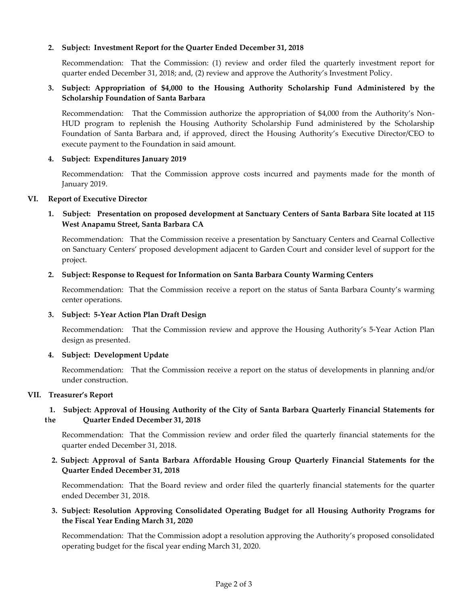### **2. Subject: Investment Report for the Quarter Ended December 31, 2018**

[Recommendation: That the Commission: \(1\) review and order filed the quarterly investment report for](https://hacsb.org/download/meetings_2019/items/03_march/Item-V.2.pdf)  quarter ended December 31, 2018; and, (2) review and approve the Authority's Investment Policy.

## **3. Subject: Appropriation of \$4,000 to the Housing Authority Scholarship Fund Administered by the Scholarship Foundation of Santa Barbara**

Recommendation: That the Commission authorize the appropriation of \$4,000 from the Authority's Non-[HUD program to replenish the Housing Authority Scholarship Fund administered by the Scholarship](https://hacsb.org/download/meetings_2019/items/03_march/Item-V.3.pdf)  Foundation of Santa Barbara and, if approved, direct the Housing Authority's Executive Director/CEO to execute payment to the Foundation in said amount.

### **4. Subject: Expenditures January 2019**

[Recommendation: That the Commission approve costs incurred and payments made for the](https://hacsb.org/download/meetings_2019/items/03_march/Item-V.4.pdf) month of January 2019.

#### **VI. Report of Executive Director**

# **1. Subject: Presentation on proposed development at Sanctuary Centers of Santa Barbara Site located at 115 West Anapamu Street, Santa Barbara CA**

Recommendation: That the Commission receive a presentation by Sanctuary Centers and Cearnal Collective on Sanctuary Centers' proposed development adjacent to Garden Court and consider level of support for the project.

### **[2. Subject: Response to Request for Information on Santa Barbara County Warming Centers](https://hacsb.org/download/meetings_2019/items/03_march/Item-VI.2.pdf)**

Recommendation: That the Commission receive a report on the status of Santa Barbara County's warming center operations.

#### **3. Subject: 5-Year Action Plan Draft Design**

Recommendation: That the Commission [review and approve the Housing Authority's](https://hacsb.org/download/meetings_2019/items/03_march/Item-VI.3.pdf) 5-Year Action Plan design as presented.

#### **4. Subject: Development Update**

Recommendation: That the Commission receive a report on the status of developments in planning and/or under construction.

#### **VII. Treasurer's Report**

# **[1. Subject: Approval of Housing Authority of the City of Santa Barbara Quarterly Financial Statements for](https://hacsb.org/download/meetings_2019/items/03_march/Item-VII.1.pdf)  the Quarter Ended December 31, 2018**

Recommendation: That the Commission review and order filed the quarterly financial statements for the quarter ended December 31, 2018.

# **[2. Subject: Approval of Santa Barbara Affordable Housing Group Quarterly Financial Statements for the](https://hacsb.org/download/meetings_2019/items/03_march/Item-VII.2.pdf)  Quarter Ended December 31, 2018**

Recommendation: That the Board review and order filed the quarterly financial statements for the quarter ended December 31, 2018.

# **[3. Subject: Resolution Approving Consolidated Operating Budget for](https://hacsb.org/download/meetings_2019/items/03_march/Item-VII.3.pdf) all Housing Authority Programs for the Fiscal Year Ending March 31, 2020**

Recommendation: That the Commission adopt a resolution approving the Authority's proposed consolidated operating budget for the fiscal year ending March 31, 2020.